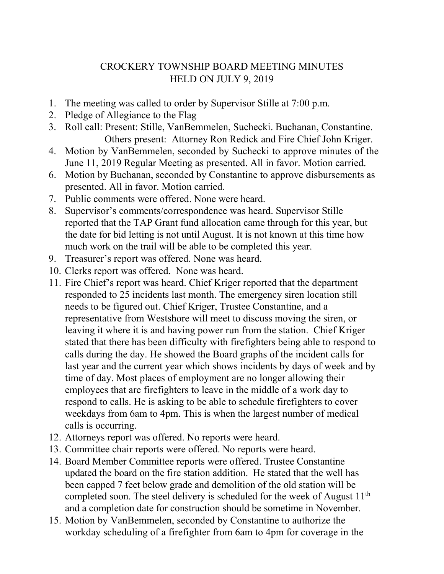## CROCKERY TOWNSHIP BOARD MEETING MINUTES HELD ON JULY 9, 2019

- 1. The meeting was called to order by Supervisor Stille at 7:00 p.m.
- 2. Pledge of Allegiance to the Flag
- 3. Roll call: Present: Stille, VanBemmelen, Suchecki. Buchanan, Constantine. Others present: Attorney Ron Redick and Fire Chief John Kriger.
- 4. Motion by VanBemmelen, seconded by Suchecki to approve minutes of the June 11, 2019 Regular Meeting as presented. All in favor. Motion carried.
- 6. Motion by Buchanan, seconded by Constantine to approve disbursements as presented. All in favor. Motion carried.
- 7. Public comments were offered. None were heard.
- 8. Supervisor's comments/correspondence was heard. Supervisor Stille reported that the TAP Grant fund allocation came through for this year, but the date for bid letting is not until August. It is not known at this time how much work on the trail will be able to be completed this year.
- 9. Treasurer's report was offered. None was heard.
- 10. Clerks report was offered. None was heard.
- 11. Fire Chief's report was heard. Chief Kriger reported that the department responded to 25 incidents last month. The emergency siren location still needs to be figured out. Chief Kriger, Trustee Constantine, and a representative from Westshore will meet to discuss moving the siren, or leaving it where it is and having power run from the station. Chief Kriger stated that there has been difficulty with firefighters being able to respond to calls during the day. He showed the Board graphs of the incident calls for last year and the current year which shows incidents by days of week and by time of day. Most places of employment are no longer allowing their employees that are firefighters to leave in the middle of a work day to respond to calls. He is asking to be able to schedule firefighters to cover weekdays from 6am to 4pm. This is when the largest number of medical calls is occurring.
- 12. Attorneys report was offered. No reports were heard.
- 13. Committee chair reports were offered. No reports were heard.
- 14. Board Member Committee reports were offered. Trustee Constantine updated the board on the fire station addition. He stated that the well has been capped 7 feet below grade and demolition of the old station will be completed soon. The steel delivery is scheduled for the week of August  $11<sup>th</sup>$ and a completion date for construction should be sometime in November.
- 15. Motion by VanBemmelen, seconded by Constantine to authorize the workday scheduling of a firefighter from 6am to 4pm for coverage in the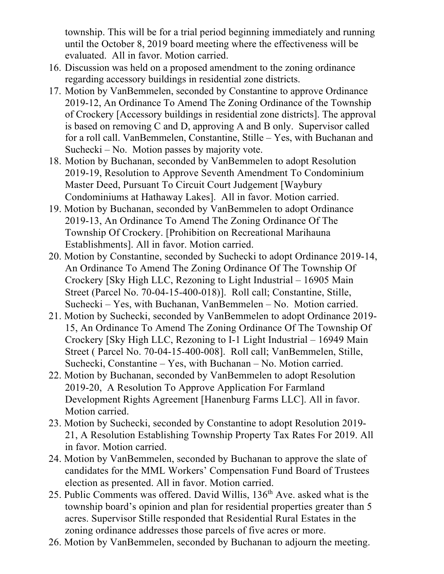township. This will be for a trial period beginning immediately and running until the October 8, 2019 board meeting where the effectiveness will be evaluated. All in favor. Motion carried.

- 16. Discussion was held on a proposed amendment to the zoning ordinance regarding accessory buildings in residential zone districts.
- 17. Motion by VanBemmelen, seconded by Constantine to approve Ordinance 2019-12, An Ordinance To Amend The Zoning Ordinance of the Township of Crockery [Accessory buildings in residential zone districts]. The approval is based on removing C and D, approving A and B only. Supervisor called for a roll call. VanBemmelen, Constantine, Stille – Yes, with Buchanan and Suchecki – No. Motion passes by majority vote.
- 18. Motion by Buchanan, seconded by VanBemmelen to adopt Resolution 2019-19, Resolution to Approve Seventh Amendment To Condominium Master Deed, Pursuant To Circuit Court Judgement [Waybury Condominiums at Hathaway Lakes]. All in favor. Motion carried.
- 19. Motion by Buchanan, seconded by VanBemmelen to adopt Ordinance 2019-13, An Ordinance To Amend The Zoning Ordinance Of The Township Of Crockery. [Prohibition on Recreational Marihauna Establishments]. All in favor. Motion carried.
- 20. Motion by Constantine, seconded by Suchecki to adopt Ordinance 2019-14, An Ordinance To Amend The Zoning Ordinance Of The Township Of Crockery [Sky High LLC, Rezoning to Light Industrial – 16905 Main Street (Parcel No. 70-04-15-400-018)]. Roll call; Constantine, Stille, Suchecki – Yes, with Buchanan, VanBemmelen – No. Motion carried.
- 21. Motion by Suchecki, seconded by VanBemmelen to adopt Ordinance 2019- 15, An Ordinance To Amend The Zoning Ordinance Of The Township Of Crockery [Sky High LLC, Rezoning to I-1 Light Industrial – 16949 Main Street ( Parcel No. 70-04-15-400-008]. Roll call; VanBemmelen, Stille, Suchecki, Constantine – Yes, with Buchanan – No. Motion carried.
- 22. Motion by Buchanan, seconded by VanBemmelen to adopt Resolution 2019-20, A Resolution To Approve Application For Farmland Development Rights Agreement [Hanenburg Farms LLC]. All in favor. Motion carried.
- 23. Motion by Suchecki, seconded by Constantine to adopt Resolution 2019- 21, A Resolution Establishing Township Property Tax Rates For 2019. All in favor. Motion carried.
- 24. Motion by VanBemmelen, seconded by Buchanan to approve the slate of candidates for the MML Workers' Compensation Fund Board of Trustees election as presented. All in favor. Motion carried.
- 25. Public Comments was offered. David Willis, 136th Ave. asked what is the township board's opinion and plan for residential properties greater than 5 acres. Supervisor Stille responded that Residential Rural Estates in the zoning ordinance addresses those parcels of five acres or more.
- 26. Motion by VanBemmelen, seconded by Buchanan to adjourn the meeting.